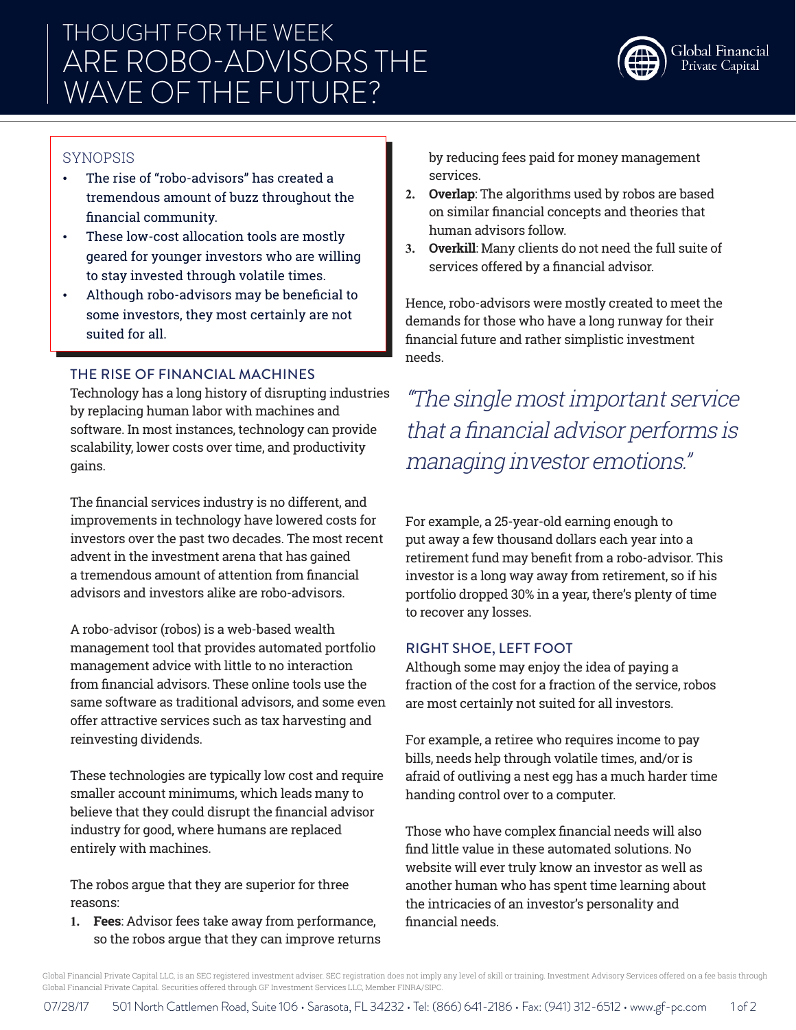# THOUGHT FOR THE WEEK ARE ROBO-ADVISORS THE WAVE OF THE FUTURE?



## SYNOPSIS

- The rise of "robo-advisors" has created a tremendous amount of buzz throughout the financial community.
- These low-cost allocation tools are mostly geared for younger investors who are willing to stay invested through volatile times.
- Although robo-advisors may be beneficial to some investors, they most certainly are not suited for all.

### THE RISE OF FINANCIAL MACHINES

Technology has a long history of disrupting industries by replacing human labor with machines and software. In most instances, technology can provide scalability, lower costs over time, and productivity gains.

The financial services industry is no different, and improvements in technology have lowered costs for investors over the past two decades. The most recent advent in the investment arena that has gained a tremendous amount of attention from financial advisors and investors alike are robo-advisors.

A robo-advisor (robos) is a web-based wealth management tool that provides automated portfolio management advice with little to no interaction from financial advisors. These online tools use the same software as traditional advisors, and some even offer attractive services such as tax harvesting and reinvesting dividends.

These technologies are typically low cost and require smaller account minimums, which leads many to believe that they could disrupt the financial advisor industry for good, where humans are replaced entirely with machines.

The robos argue that they are superior for three reasons:

**1. Fees**: Advisor fees take away from performance, so the robos argue that they can improve returns by reducing fees paid for money management services.

- **2. Overlap**: The algorithms used by robos are based on similar financial concepts and theories that human advisors follow.
- **3. Overkill**: Many clients do not need the full suite of services offered by a financial advisor.

Hence, robo-advisors were mostly created to meet the demands for those who have a long runway for their financial future and rather simplistic investment needs.

"The single most important service that a financial advisor performs is managing investor emotions."

For example, a 25-year-old earning enough to put away a few thousand dollars each year into a retirement fund may benefit from a robo-advisor. This investor is a long way away from retirement, so if his portfolio dropped 30% in a year, there's plenty of time to recover any losses.

#### RIGHT SHOE, LEFT FOOT

Although some may enjoy the idea of paying a fraction of the cost for a fraction of the service, robos are most certainly not suited for all investors.

For example, a retiree who requires income to pay bills, needs help through volatile times, and/or is afraid of outliving a nest egg has a much harder time handing control over to a computer.

Those who have complex financial needs will also find little value in these automated solutions. No website will ever truly know an investor as well as another human who has spent time learning about the intricacies of an investor's personality and financial needs.

Global Financial Private Capital LLC, is an SEC registered investment adviser. SEC registration does not imply any level of skill or training. Investment Advisory Services offered on a fee basis through Global Financial Private Capital. Securities offered through GF Investment Services LLC, Member FINRA/SIPC.